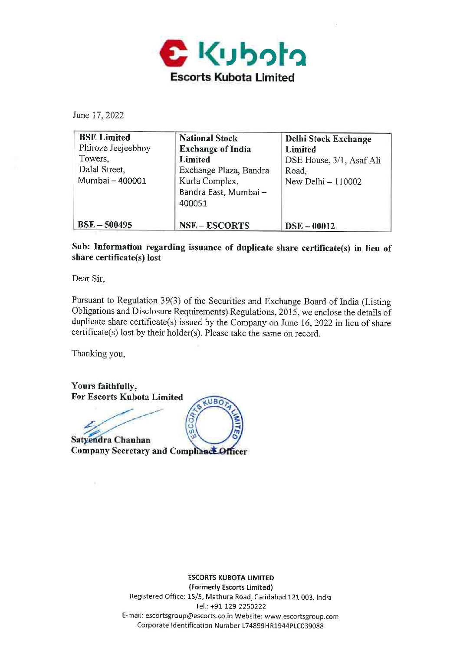

June 17, 2022

| <b>BSE</b> Limited | <b>National Stock</b>    | <b>Delhi Stock Exchange</b> |
|--------------------|--------------------------|-----------------------------|
| Phiroze Jeejeebhoy | <b>Exchange of India</b> | Limited                     |
| Towers,            | Limited                  | DSE House, 3/1, Asaf Ali    |
| Dalal Street,      | Exchange Plaza, Bandra   | Road,                       |
| Mumbai - 400001    | Kurla Complex,           | New Delhi $-110002$         |
|                    | Bandra East, Mumbai -    |                             |
|                    | 400051                   |                             |
| $BSE - 500495$     | <b>NSE-ESCORTS</b>       | $DSE - 00012$               |

**Sub: Information regarding issuance of duplicate share certificate(s) in lieu of share certificate(s) lost** 

Dear Sir,

Pursuant to Regulation 39(3) of the Securities and Exchange Board of India (Listing Obligations and Disclosure Requirements) Regulations, 2015, we enclose the details of duplicate share certificate(s) issued by the Company on June 16, 2022 in lieu of share certificate(s) lost by their holder(s). Please take the same on record.

UBO

eco

Thanking you,

**Yours faithfully, For Escorts Kubota Limited** 

Satyendra Chauhan

Company Secretary and Compliance Officer

**ESCORTS KUBOTA LIMITED (Formerly Escorts Limited)**  Registered Office: 15/5, Mathura Road, Faridabad 121 003, India Tel.: +91-129-2250222 E-mail: escortsgroup@escorts.co.in Website: www.escortsgroup.com Corporate Identification Number L74899HR1944PLC039088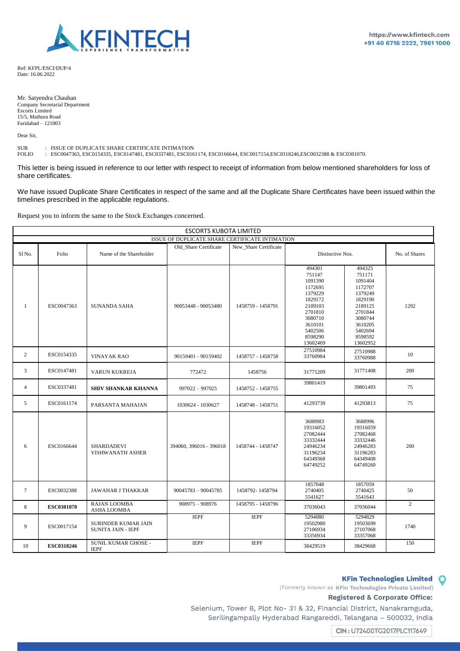

Ref: KFPL/ESCI/DUP/4 Date: 16.06.2022

Mr. Satyendra Chauhan Company Secretarial Department Escorts Limited 15/5, Mathura Road Faridabad – 121003

Dear Sir,

SUB : ISSUE OF DUPLICATE SHARE CERTIFICATE INTIMATION<br>FOLIO : ESC0047363, ESC0154335, ESC0147481, ESC0337481, ESC016

: ESC0047363, ESC0154335, ESC0147481, ESC0337481, ESC0161174, ESC0166644, ESC0017154,ESC0318246,ESC0032388 & ESC0301070.

This letter is being issued in reference to our letter with respect to receipt of information from below mentioned shareholders for loss of share certificates.

We have issued Duplicate Share Certificates in respect of the same and all the Duplicate Share Certificates have been issued within the timelines prescribed in the applicable regulations.

Request you to inform the same to the Stock Exchanges concerned.

| <b>ESCORTS KUBOTA LIMITED</b>                   |                   |                                                  |                         |                       |                                                                                                                                            |                                                                                                                                            |                |  |  |
|-------------------------------------------------|-------------------|--------------------------------------------------|-------------------------|-----------------------|--------------------------------------------------------------------------------------------------------------------------------------------|--------------------------------------------------------------------------------------------------------------------------------------------|----------------|--|--|
| ISSUE OF DUPLICATE SHARE CERTIFICATE INTIMATION |                   |                                                  |                         |                       |                                                                                                                                            |                                                                                                                                            |                |  |  |
| Sl No.                                          | Folio             | Name of the Shareholder                          | Old Share Certificate   | New Share Certificate | Distinctive Nos.                                                                                                                           |                                                                                                                                            | No. of Shares  |  |  |
| $\mathbf{1}$                                    | ESC0047363        | <b>SUNANDA SAHA</b>                              | 90053448 - 90053480     | 1458759 - 1458791     | 494301<br>751147<br>1091390<br>1172695<br>1379229<br>1829172<br>2189103<br>2701810<br>3080710<br>3610101<br>5402506<br>8598290<br>13602469 | 494325<br>751171<br>1091404<br>1172707<br>1379249<br>1829190<br>2189125<br>2701844<br>3080744<br>3610205<br>5402694<br>8598592<br>13602952 | 1292           |  |  |
| 2                                               | ESC0154335        | <b>VINAYAK RAO</b>                               | 90159401 - 90159402     | 1458757 - 1458758     | 27510984<br>33760984                                                                                                                       | 27510988<br>33760988                                                                                                                       | 10             |  |  |
| 3                                               | ESC0147481        | VARUN KUKREJA                                    | 772472                  | 1458756               | 31771209                                                                                                                                   | 31771408                                                                                                                                   | 200            |  |  |
| $\overline{4}$                                  | ESC0337481        | <b>SHIV SHANKAR KHANNA</b>                       | $997022 - 997025$       | 1458752 - 1458755     | 39801419                                                                                                                                   | 39801493                                                                                                                                   | 75             |  |  |
| 5                                               | ESC0161174        | PARSANTA MAHAJAN                                 | 1030624 - 1030627       | 1458748 - 1458751     | 41293739                                                                                                                                   | 41293813                                                                                                                                   | 75             |  |  |
| 6                                               | ESC0166644        | <b>SHARDADEVI</b><br>VISHWANATH ASHER            | 394060, 396016 - 396018 | 1458744 - 1458747     | 3688983<br>19316052<br>27082444<br>33332444<br>24946234<br>31196234<br>64349368<br>64749252                                                | 3688996<br>19316059<br>27082468<br>33332446<br>24946283<br>31196283<br>64349408<br>64749260                                                | 200            |  |  |
| $\tau$                                          | ESC0032388        | <b>JAWAHAR J THAKKAR</b>                         | $90045783 - 90045785$   | 1458792-1458794       | 1857048<br>2740405<br>5541627                                                                                                              | 1857059<br>2740425<br>5541643                                                                                                              | 50             |  |  |
| 8                                               | <b>ESC0301070</b> | <b>RAJAN LOOMBA</b><br><b>ASHA LOOMBA</b>        | $908975 - 908976$       | 1458795 - 1458796     | 37036043                                                                                                                                   | 37036044                                                                                                                                   | $\overline{2}$ |  |  |
| 9                                               | ESC0017154        | SURINDER KUMAR JAIN<br><b>SUNITA JAIN - IEPF</b> | <b>IEPF</b>             | <b>IEPF</b>           | 5294080<br>19502980<br>27106934<br>33356934                                                                                                | 5294829<br>19503699<br>27107068<br>33357068                                                                                                | 1740           |  |  |
| 10                                              | ESC0318246        | SUNIL KUMAR GHOSE -<br><b>IEPF</b>               | <b>IEPF</b>             | <b>IEPF</b>           | 38429519                                                                                                                                   | 38429668                                                                                                                                   | 150            |  |  |

## **KFin Technologies Limited Q**

(Formerly known as **KFin Technologies Private Limited)** 

## **Registered** & **Corporate Office:**

Selenium, Tower B, Plot No- 31 & 32, Financial District, Nanakramguda, Serilingampally Hyderabad Rangareddi, Telangana - 500032, India

[ **CIN** : **U72400TG2017PLC117649**